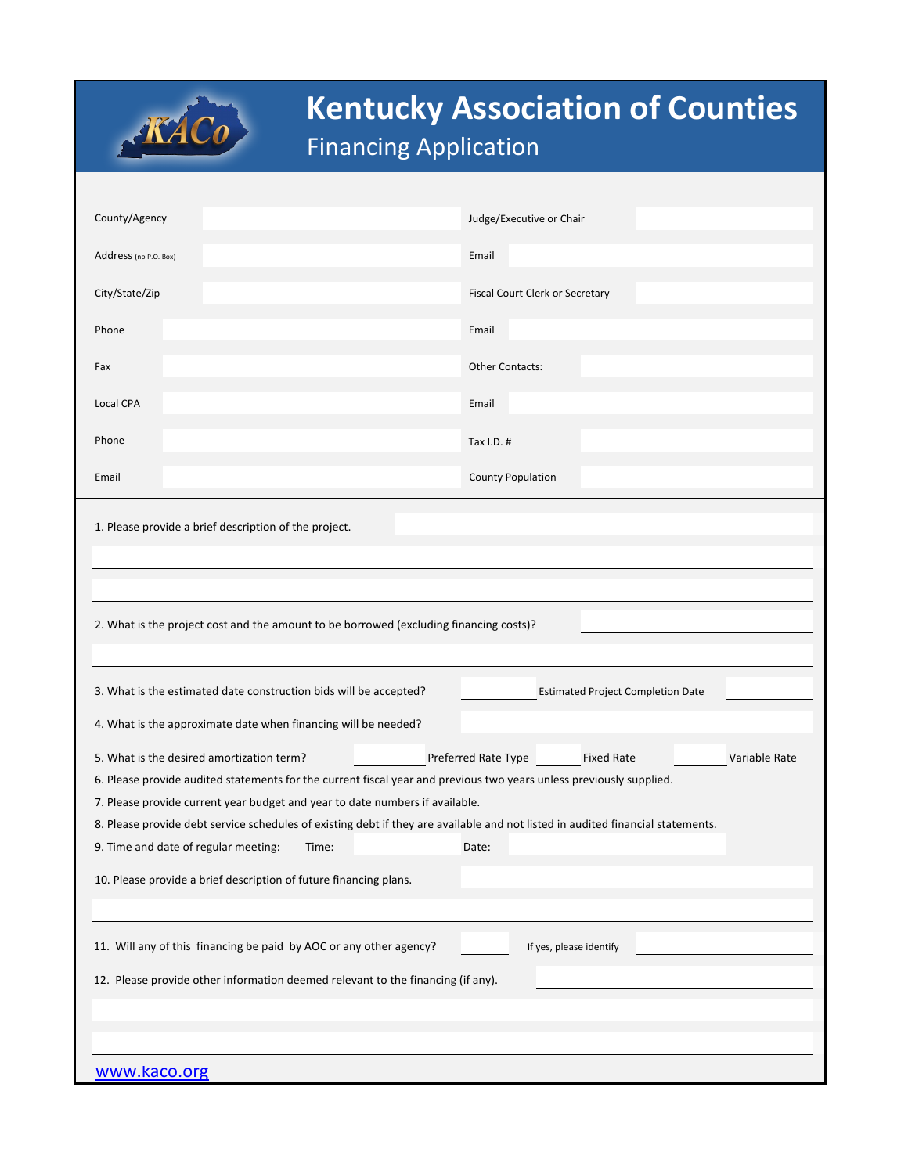| <b>KÁCO</b> | <b>Kentucky Association of Counties</b><br><b>Financing Application</b> |
|-------------|-------------------------------------------------------------------------|
|             |                                                                         |

| County/Agency                                                                                                                   | Judge/Executive or Chair                 |  |  |  |
|---------------------------------------------------------------------------------------------------------------------------------|------------------------------------------|--|--|--|
| Address (no P.O. Box)                                                                                                           | Email                                    |  |  |  |
| City/State/Zip                                                                                                                  | Fiscal Court Clerk or Secretary          |  |  |  |
| Phone                                                                                                                           | Email                                    |  |  |  |
| Fax                                                                                                                             | Other Contacts:                          |  |  |  |
| Local CPA                                                                                                                       | Email                                    |  |  |  |
| Phone                                                                                                                           | Tax $I.D.$ #                             |  |  |  |
|                                                                                                                                 |                                          |  |  |  |
| Email                                                                                                                           | <b>County Population</b>                 |  |  |  |
| 1. Please provide a brief description of the project.                                                                           |                                          |  |  |  |
|                                                                                                                                 |                                          |  |  |  |
|                                                                                                                                 |                                          |  |  |  |
|                                                                                                                                 |                                          |  |  |  |
| 2. What is the project cost and the amount to be borrowed (excluding financing costs)?                                          |                                          |  |  |  |
|                                                                                                                                 |                                          |  |  |  |
| 3. What is the estimated date construction bids will be accepted?                                                               | <b>Estimated Project Completion Date</b> |  |  |  |
| 4. What is the approximate date when financing will be needed?                                                                  |                                          |  |  |  |
| 5. What is the desired amortization term?<br>Preferred Rate Type<br>Variable Rate<br><b>Fixed Rate</b>                          |                                          |  |  |  |
| 6. Please provide audited statements for the current fiscal year and previous two years unless previously supplied.             |                                          |  |  |  |
| 7. Please provide current year budget and year to date numbers if available.                                                    |                                          |  |  |  |
| 8. Please provide debt service schedules of existing debt if they are available and not listed in audited financial statements. |                                          |  |  |  |
| 9. Time and date of regular meeting:<br>Time:                                                                                   | Date:                                    |  |  |  |
| 10. Please provide a brief description of future financing plans.                                                               |                                          |  |  |  |
|                                                                                                                                 |                                          |  |  |  |
| 11. Will any of this financing be paid by AOC or any other agency?<br>If yes, please identify                                   |                                          |  |  |  |
| 12. Please provide other information deemed relevant to the financing (if any).                                                 |                                          |  |  |  |
|                                                                                                                                 |                                          |  |  |  |
|                                                                                                                                 |                                          |  |  |  |
|                                                                                                                                 |                                          |  |  |  |
| www.kaco.org                                                                                                                    |                                          |  |  |  |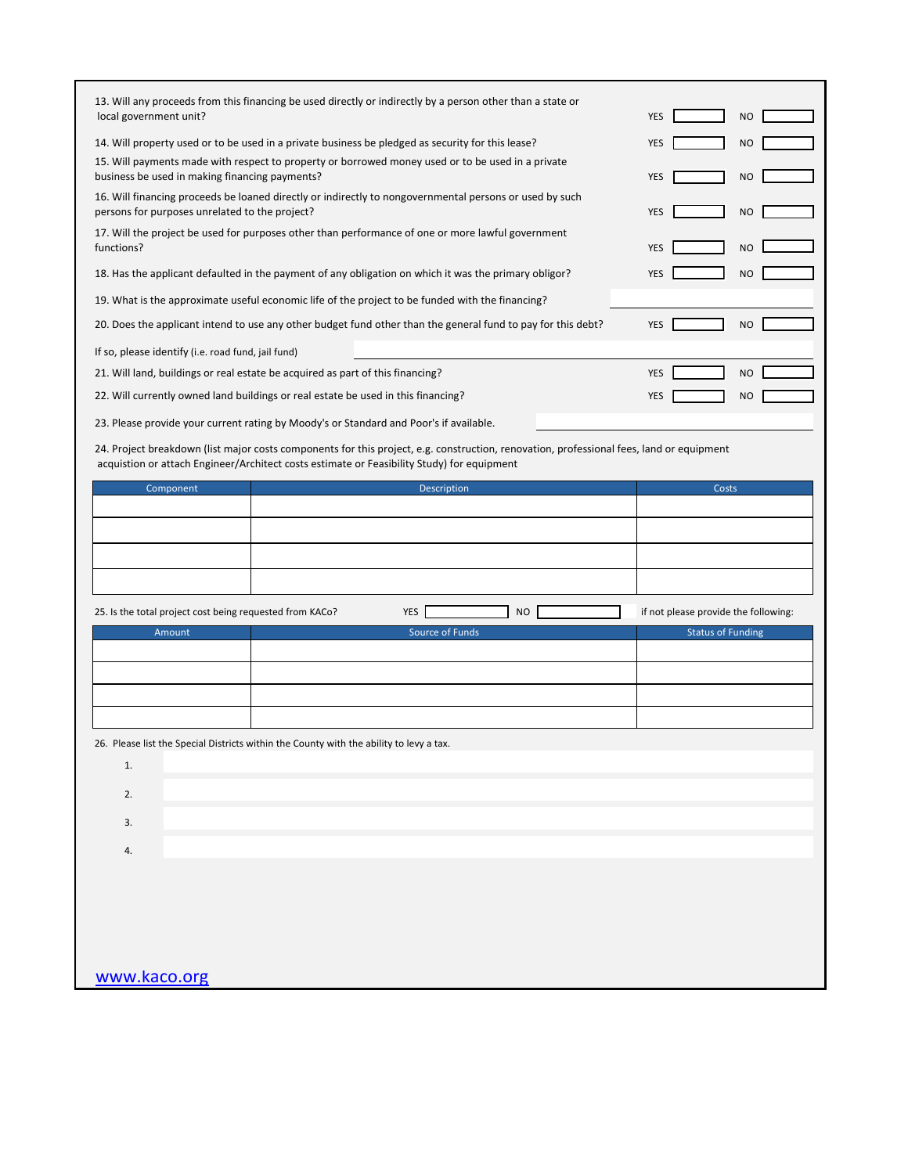| 13. Will any proceeds from this financing be used directly or indirectly by a person other than a state or                                                                                             |                                      |
|--------------------------------------------------------------------------------------------------------------------------------------------------------------------------------------------------------|--------------------------------------|
| local government unit?                                                                                                                                                                                 | <b>YES</b><br><b>NO</b>              |
| 14. Will property used or to be used in a private business be pledged as security for this lease?<br>15. Will payments made with respect to property or borrowed money used or to be used in a private | <b>YES</b><br><b>NO</b>              |
| business be used in making financing payments?                                                                                                                                                         | <b>YES</b><br><b>NO</b>              |
| 16. Will financing proceeds be loaned directly or indirectly to nongovernmental persons or used by such<br>persons for purposes unrelated to the project?                                              | <b>YES</b><br>NO                     |
| 17. Will the project be used for purposes other than performance of one or more lawful government<br>functions?                                                                                        | <b>YES</b><br>NO                     |
| 18. Has the applicant defaulted in the payment of any obligation on which it was the primary obligor?                                                                                                  | <b>YES</b><br><b>NO</b>              |
| 19. What is the approximate useful economic life of the project to be funded with the financing?                                                                                                       |                                      |
| 20. Does the applicant intend to use any other budget fund other than the general fund to pay for this debt?                                                                                           | <b>YES</b><br><b>NO</b>              |
| If so, please identify (i.e. road fund, jail fund)                                                                                                                                                     |                                      |
| 21. Will land, buildings or real estate be acquired as part of this financing?                                                                                                                         | <b>YES</b><br><b>NO</b>              |
| 22. Will currently owned land buildings or real estate be used in this financing?                                                                                                                      | <b>YES</b><br><b>NO</b>              |
| 23. Please provide your current rating by Moody's or Standard and Poor's if available.                                                                                                                 |                                      |
| 24. Project breakdown (list major costs components for this project, e.g. construction, renovation, professional fees, land or equipment                                                               |                                      |
| acquistion or attach Engineer/Architect costs estimate or Feasibility Study) for equipment                                                                                                             |                                      |
| Component<br>Description                                                                                                                                                                               | Costs                                |
|                                                                                                                                                                                                        |                                      |
|                                                                                                                                                                                                        |                                      |
|                                                                                                                                                                                                        |                                      |
|                                                                                                                                                                                                        |                                      |
| 25. Is the total project cost being requested from KACo?<br>YES<br><b>NO</b>                                                                                                                           | if not please provide the following: |
| Source of Funds<br>Amount                                                                                                                                                                              | <b>Status of Funding</b>             |
|                                                                                                                                                                                                        |                                      |
|                                                                                                                                                                                                        |                                      |
|                                                                                                                                                                                                        |                                      |
|                                                                                                                                                                                                        |                                      |
| 26. Please list the Special Districts within the County with the ability to levy a tax                                                                                                                 |                                      |
| 1.                                                                                                                                                                                                     |                                      |
| 2.                                                                                                                                                                                                     |                                      |
|                                                                                                                                                                                                        |                                      |
| 3.                                                                                                                                                                                                     |                                      |
| 4.                                                                                                                                                                                                     |                                      |
|                                                                                                                                                                                                        |                                      |
|                                                                                                                                                                                                        |                                      |
|                                                                                                                                                                                                        |                                      |
|                                                                                                                                                                                                        |                                      |
|                                                                                                                                                                                                        |                                      |
| www.kaco.org                                                                                                                                                                                           |                                      |